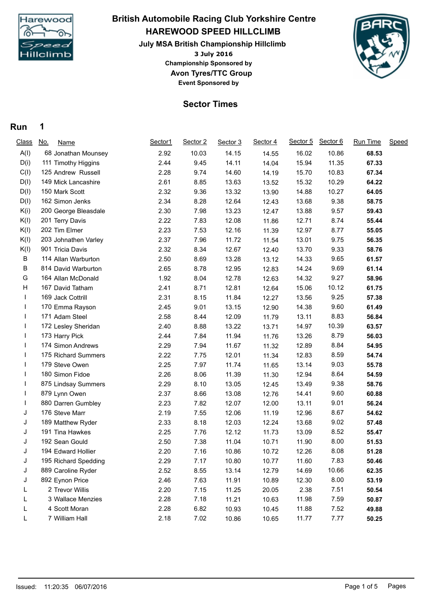

## **3 July 2016 HAREWOOD SPEED HILLCLIMB July MSA British Championship Hillclimb British Automobile Racing Club Yorkshire Centre Championship Sponsored by**



## **Sector Times**

**Avon Tyres/TTC Group Event Sponsored by**

## **Run 1**

| A(I)<br>68 Jonathan Mounsey<br>D(i)<br>111 Timothy Higgins<br>C(I)<br>125 Andrew Russell<br>D(1)<br>149 Mick Lancashire<br>D(1)<br>150 Mark Scott | 2.92<br>2.44<br>2.28<br>2.61<br>2.32<br>2.34<br>2.30<br>2.22 | 10.03<br>9.45<br>9.74<br>8.85<br>9.36<br>8.28<br>7.98 | 14.15<br>14.11<br>14.60<br>13.63<br>13.32<br>12.64 | 14.55<br>14.04<br>14.19<br>13.52<br>13.90 | 16.02<br>15.94<br>15.70<br>15.32 | 10.86<br>11.35<br>10.83<br>10.29 | 68.53<br>67.33<br>67.34 |  |
|---------------------------------------------------------------------------------------------------------------------------------------------------|--------------------------------------------------------------|-------------------------------------------------------|----------------------------------------------------|-------------------------------------------|----------------------------------|----------------------------------|-------------------------|--|
|                                                                                                                                                   |                                                              |                                                       |                                                    |                                           |                                  |                                  |                         |  |
|                                                                                                                                                   |                                                              |                                                       |                                                    |                                           |                                  |                                  |                         |  |
|                                                                                                                                                   |                                                              |                                                       |                                                    |                                           |                                  |                                  |                         |  |
|                                                                                                                                                   |                                                              |                                                       |                                                    |                                           |                                  |                                  | 64.22                   |  |
|                                                                                                                                                   |                                                              |                                                       |                                                    |                                           | 14.88                            | 10.27                            | 64.05                   |  |
| D(I)<br>162 Simon Jenks                                                                                                                           |                                                              |                                                       |                                                    | 12.43                                     | 13.68                            | 9.38                             | 58.75                   |  |
| K(i)<br>200 George Bleasdale                                                                                                                      |                                                              |                                                       | 13.23                                              | 12.47                                     | 13.88                            | 9.57                             | 59.43                   |  |
| K(I)<br>201 Terry Davis                                                                                                                           |                                                              | 7.83                                                  | 12.08                                              | 11.86                                     | 12.71                            | 8.74                             | 55.44                   |  |
| K(I)<br>202 Tim Elmer                                                                                                                             | 2.23                                                         | 7.53                                                  | 12.16                                              | 11.39                                     | 12.97                            | 8.77                             | 55.05                   |  |
| K(I)<br>203 Johnathen Varley                                                                                                                      | 2.37                                                         | 7.96                                                  | 11.72                                              | 11.54                                     | 13.01                            | 9.75                             | 56.35                   |  |
| K(I)<br>901 Tricia Davis                                                                                                                          | 2.32                                                         | 8.34                                                  | 12.67                                              | 12.40                                     | 13.70                            | 9.33                             | 58.76                   |  |
| В<br>114 Allan Warburton                                                                                                                          | 2.50                                                         | 8.69                                                  | 13.28                                              | 13.12                                     | 14.33                            | 9.65                             | 61.57                   |  |
| В<br>814 David Warburton                                                                                                                          | 2.65                                                         | 8.78                                                  | 12.95                                              | 12.83                                     | 14.24                            | 9.69                             | 61.14                   |  |
| G<br>164 Allan McDonald                                                                                                                           | 1.92                                                         | 8.04                                                  | 12.78                                              | 12.63                                     | 14.32                            | 9.27                             | 58.96                   |  |
| н<br>167 David Tatham                                                                                                                             | 2.41                                                         | 8.71                                                  | 12.81                                              | 12.64                                     | 15.06                            | 10.12                            | 61.75                   |  |
| 169 Jack Cottrill                                                                                                                                 | 2.31                                                         | 8.15                                                  | 11.84                                              | 12.27                                     | 13.56                            | 9.25                             | 57.38                   |  |
| 170 Emma Rayson                                                                                                                                   | 2.45                                                         | 9.01                                                  | 13.15                                              | 12.90                                     | 14.38                            | 9.60                             | 61.49                   |  |
| 171 Adam Steel                                                                                                                                    | 2.58                                                         | 8.44                                                  | 12.09                                              | 11.79                                     | 13.11                            | 8.83                             | 56.84                   |  |
| 172 Lesley Sheridan                                                                                                                               | 2.40                                                         | 8.88                                                  | 13.22                                              | 13.71                                     | 14.97                            | 10.39                            | 63.57                   |  |
| 173 Harry Pick                                                                                                                                    | 2.44                                                         | 7.84                                                  | 11.94                                              | 11.76                                     | 13.26                            | 8.79                             | 56.03                   |  |
| 174 Simon Andrews                                                                                                                                 | 2.29                                                         | 7.94                                                  | 11.67                                              | 11.32                                     | 12.89                            | 8.84                             | 54.95                   |  |
| 175 Richard Summers                                                                                                                               | 2.22                                                         | 7.75                                                  | 12.01                                              | 11.34                                     | 12.83                            | 8.59                             | 54.74                   |  |
| 179 Steve Owen                                                                                                                                    | 2.25                                                         | 7.97                                                  | 11.74                                              | 11.65                                     | 13.14                            | 9.03                             | 55.78                   |  |
| 180 Simon Fidoe                                                                                                                                   | 2.26                                                         | 8.06                                                  | 11.39                                              | 11.30                                     | 12.94                            | 8.64                             | 54.59                   |  |
| 875 Lindsay Summers                                                                                                                               | 2.29                                                         | 8.10                                                  | 13.05                                              | 12.45                                     | 13.49                            | 9.38                             | 58.76                   |  |
| 879 Lynn Owen                                                                                                                                     | 2.37                                                         | 8.66                                                  | 13.08                                              | 12.76                                     | 14.41                            | 9.60                             | 60.88                   |  |
| 880 Darren Gumbley                                                                                                                                | 2.23                                                         | 7.82                                                  | 12.07                                              | 12.00                                     | 13.11                            | 9.01                             | 56.24                   |  |
| 176 Steve Marr<br>J                                                                                                                               | 2.19                                                         | 7.55                                                  | 12.06                                              | 11.19                                     | 12.96                            | 8.67                             | 54.62                   |  |
| 189 Matthew Ryder<br>J                                                                                                                            | 2.33                                                         | 8.18                                                  | 12.03                                              | 12.24                                     | 13.68                            | 9.02                             | 57.48                   |  |
| 191 Tina Hawkes<br>J                                                                                                                              | 2.25                                                         | 7.76                                                  | 12.12                                              | 11.73                                     | 13.09                            | 8.52                             | 55.47                   |  |
| 192 Sean Gould<br>J                                                                                                                               | 2.50                                                         | 7.38                                                  | 11.04                                              | 10.71                                     | 11.90                            | 8.00                             | 51.53                   |  |
| 194 Edward Hollier<br>J                                                                                                                           | 2.20                                                         | 7.16                                                  | 10.86                                              | 10.72                                     | 12.26                            | 8.08                             | 51.28                   |  |
| J<br>195 Richard Spedding                                                                                                                         | 2.29                                                         | 7.17                                                  | 10.80                                              | 10.77                                     | 11.60                            | 7.83                             | 50.46                   |  |
| 889 Caroline Ryder<br>J                                                                                                                           | 2.52                                                         | 8.55                                                  | 13.14                                              | 12.79                                     | 14.69                            | 10.66                            | 62.35                   |  |
| 892 Eynon Price<br>J                                                                                                                              | 2.46                                                         | 7.63                                                  | 11.91                                              | 10.89                                     | 12.30                            | 8.00                             | 53.19                   |  |
| 2 Trevor Willis                                                                                                                                   | 2.20                                                         | 7.15                                                  | 11.25                                              | 20.05                                     | 2.38                             | 7.51                             | 50.54                   |  |
| 3 Wallace Menzies<br>L                                                                                                                            | 2.28                                                         | 7.18                                                  | 11.21                                              | 10.63                                     | 11.98                            | 7.59                             | 50.87                   |  |
| 4 Scott Moran<br>L                                                                                                                                | 2.28                                                         | 6.82                                                  | 10.93                                              | 10.45                                     | 11.88                            | 7.52                             | 49.88                   |  |
| 7 William Hall<br>L                                                                                                                               | 2.18                                                         | 7.02                                                  | 10.86                                              | 10.65                                     | 11.77                            | 7.77                             | 50.25                   |  |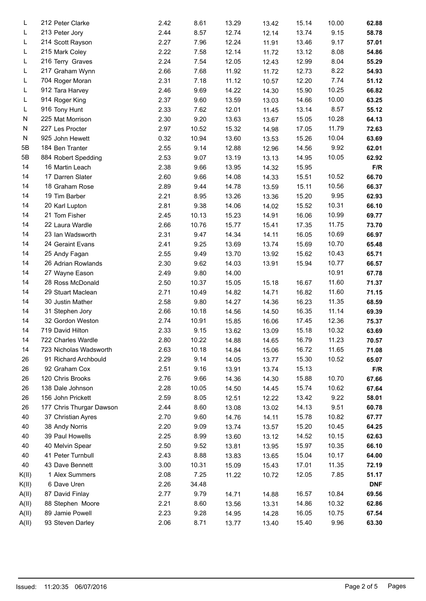| L     | 212 Peter Clarke         | 2.42 | 8.61  | 13.29 | 13.42 | 15.14 | 10.00 | 62.88      |  |
|-------|--------------------------|------|-------|-------|-------|-------|-------|------------|--|
| L     | 213 Peter Jory           | 2.44 | 8.57  | 12.74 | 12.14 | 13.74 | 9.15  | 58.78      |  |
| L     | 214 Scott Rayson         | 2.27 | 7.96  | 12.24 | 11.91 | 13.46 | 9.17  | 57.01      |  |
| L     | 215 Mark Coley           | 2.22 | 7.58  | 12.14 | 11.72 | 13.12 | 8.08  | 54.86      |  |
| L     | 216 Terry Graves         | 2.24 | 7.54  | 12.05 | 12.43 | 12.99 | 8.04  | 55.29      |  |
| L     | 217 Graham Wynn          | 2.66 | 7.68  | 11.92 | 11.72 | 12.73 | 8.22  | 54.93      |  |
| L     | 704 Roger Moran          | 2.31 | 7.18  | 11.12 | 10.57 | 12.20 | 7.74  | 51.12      |  |
| L     | 912 Tara Harvey          | 2.46 | 9.69  | 14.22 | 14.30 | 15.90 | 10.25 | 66.82      |  |
| L     | 914 Roger King           | 2.37 | 9.60  | 13.59 | 13.03 | 14.66 | 10.00 | 63.25      |  |
| L     | 916 Tony Hunt            | 2.33 | 7.62  | 12.01 | 11.45 | 13.14 | 8.57  | 55.12      |  |
| N     | 225 Mat Morrison         | 2.30 | 9.20  | 13.63 | 13.67 | 15.05 | 10.28 | 64.13      |  |
| N     | 227 Les Procter          | 2.97 | 10.52 | 15.32 | 14.98 | 17.05 | 11.79 | 72.63      |  |
| N     | 925 John Hewett          | 0.32 | 10.94 | 13.60 | 13.53 | 15.26 | 10.04 | 63.69      |  |
| 5B    | 184 Ben Tranter          | 2.55 | 9.14  | 12.88 | 12.96 | 14.56 | 9.92  | 62.01      |  |
| 5B    | 884 Robert Spedding      | 2.53 | 9.07  | 13.19 | 13.13 | 14.95 | 10.05 | 62.92      |  |
| 14    | 16 Martin Leach          | 2.38 | 9.66  | 13.95 | 14.32 | 15.95 |       | F/R        |  |
| 14    | 17 Darren Slater         | 2.60 | 9.66  | 14.08 | 14.33 | 15.51 | 10.52 | 66.70      |  |
| 14    | 18 Graham Rose           | 2.89 | 9.44  | 14.78 | 13.59 | 15.11 | 10.56 | 66.37      |  |
| 14    | 19 Tim Barber            | 2.21 | 8.95  | 13.26 | 13.36 | 15.20 | 9.95  | 62.93      |  |
| 14    | 20 Karl Lupton           | 2.81 | 9.38  | 14.06 | 14.02 | 15.52 | 10.31 | 66.10      |  |
| 14    | 21 Tom Fisher            | 2.45 | 10.13 | 15.23 | 14.91 | 16.06 | 10.99 | 69.77      |  |
| 14    | 22 Laura Wardle          | 2.66 | 10.76 | 15.77 | 15.41 | 17.35 | 11.75 | 73.70      |  |
| 14    | 23 Ian Wadsworth         | 2.31 | 9.47  | 14.34 | 14.11 | 16.05 | 10.69 | 66.97      |  |
| 14    | 24 Geraint Evans         | 2.41 | 9.25  | 13.69 | 13.74 | 15.69 | 10.70 | 65.48      |  |
| 14    | 25 Andy Fagan            | 2.55 | 9.49  | 13.70 | 13.92 | 15.62 | 10.43 | 65.71      |  |
| 14    | 26 Adrian Rowlands       | 2.30 | 9.62  | 14.03 | 13.91 | 15.94 | 10.77 | 66.57      |  |
| 14    | 27 Wayne Eason           | 2.49 | 9.80  | 14.00 |       |       | 10.91 | 67.78      |  |
| 14    | 28 Ross McDonald         | 2.50 | 10.37 | 15.05 | 15.18 | 16.67 | 11.60 | 71.37      |  |
| 14    | 29 Stuart Maclean        | 2.71 | 10.49 | 14.82 | 14.71 | 16.82 | 11.60 | 71.15      |  |
| 14    | 30 Justin Mather         | 2.58 | 9.80  | 14.27 | 14.36 | 16.23 | 11.35 | 68.59      |  |
| 14    | 31 Stephen Jory          | 2.66 | 10.18 | 14.56 | 14.50 | 16.35 | 11.14 | 69.39      |  |
| 14    | 32 Gordon Weston         | 2.74 | 10.91 | 15.85 | 16.06 | 17.45 | 12.36 | 75.37      |  |
| 14    | 719 David Hilton         | 2.33 | 9.15  | 13.62 | 13.09 | 15.18 | 10.32 | 63.69      |  |
| 14    | 722 Charles Wardle       | 2.80 | 10.22 | 14.88 | 14.65 | 16.79 | 11.23 | 70.57      |  |
| 14    | 723 Nicholas Wadsworth   | 2.63 | 10.18 | 14.84 | 15.06 | 16.72 | 11.65 | 71.08      |  |
| 26    | 91 Richard Archbould     | 2.29 | 9.14  | 14.05 | 13.77 | 15.30 | 10.52 | 65.07      |  |
| 26    | 92 Graham Cox            | 2.51 | 9.16  | 13.91 | 13.74 | 15.13 |       | F/R        |  |
| 26    | 120 Chris Brooks         | 2.76 | 9.66  | 14.36 | 14.30 | 15.88 | 10.70 | 67.66      |  |
| 26    | 138 Dale Johnson         | 2.28 | 10.05 | 14.50 | 14.45 | 15.74 | 10.62 | 67.64      |  |
| 26    | 156 John Prickett        | 2.59 | 8.05  | 12.51 | 12.22 | 13.42 | 9.22  | 58.01      |  |
| 26    | 177 Chris Thurgar Dawson | 2.44 | 8.60  | 13.08 | 13.02 | 14.13 | 9.51  | 60.78      |  |
| 40    | 37 Christian Ayres       | 2.70 | 9.60  | 14.76 | 14.11 | 15.78 | 10.82 | 67.77      |  |
| 40    | 38 Andy Norris           | 2.20 | 9.09  | 13.74 | 13.57 | 15.20 | 10.45 | 64.25      |  |
| 40    | 39 Paul Howells          | 2.25 | 8.99  | 13.60 | 13.12 | 14.52 | 10.15 | 62.63      |  |
| 40    | 40 Melvin Spear          | 2.50 | 9.52  | 13.81 | 13.95 | 15.97 | 10.35 | 66.10      |  |
| 40    | 41 Peter Turnbull        | 2.43 | 8.88  | 13.83 | 13.65 | 15.04 | 10.17 | 64.00      |  |
| 40    | 43 Dave Bennett          | 3.00 | 10.31 | 15.09 |       | 17.01 | 11.35 | 72.19      |  |
|       | 1 Alex Summers           |      |       |       | 15.43 |       | 7.85  |            |  |
| K(II) |                          | 2.08 | 7.25  | 11.22 | 10.72 | 12.05 |       | 51.17      |  |
| K(II) | 6 Dave Uren              | 2.26 | 34.48 |       |       |       |       | <b>DNF</b> |  |
| A(II) | 87 David Finlay          | 2.77 | 9.79  | 14.71 | 14.88 | 16.57 | 10.84 | 69.56      |  |
| A(II) | 88 Stephen Moore         | 2.21 | 8.60  | 13.56 | 13.31 | 14.86 | 10.32 | 62.86      |  |
| A(II) | 89 Jamie Powell          | 2.23 | 9.28  | 14.95 | 14.28 | 16.05 | 10.75 | 67.54      |  |
| A(II) | 93 Steven Darley         | 2.06 | 8.71  | 13.77 | 13.40 | 15.40 | 9.96  | 63.30      |  |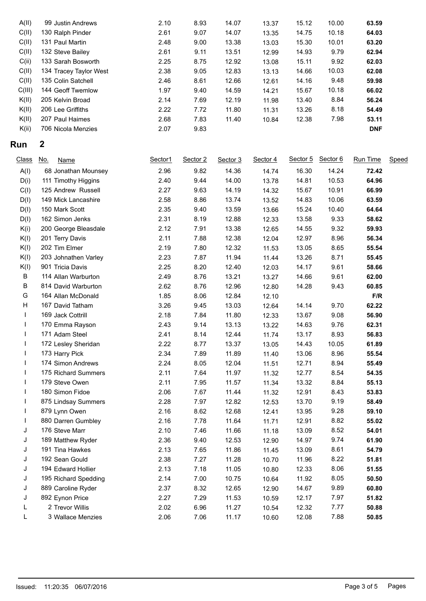| A(II)  | 99 Justin Andrews      | 2.10 | 8.93 | 14.07 | 13.37 | 15.12 | 10.00 | 63.59      |
|--------|------------------------|------|------|-------|-------|-------|-------|------------|
| C(II)  | 130 Ralph Pinder       | 2.61 | 9.07 | 14.07 | 13.35 | 14.75 | 10.18 | 64.03      |
| C(II)  | 131 Paul Martin        | 2.48 | 9.00 | 13.38 | 13.03 | 15.30 | 10.01 | 63.20      |
| C(II)  | 132 Steve Bailey       | 2.61 | 9.11 | 13.51 | 12.99 | 14.93 | 9.79  | 62.94      |
| C(ii)  | 133 Sarah Bosworth     | 2.25 | 8.75 | 12.92 | 13.08 | 15.11 | 9.92  | 62.03      |
| C(II)  | 134 Tracey Taylor West | 2.38 | 9.05 | 12.83 | 13.13 | 14.66 | 10.03 | 62.08      |
| C(II)  | 135 Colin Satchell     | 2.46 | 8.61 | 12.66 | 12.61 | 14.16 | 9.48  | 59.98      |
| C(III) | 144 Geoff Twemlow      | 1.97 | 9.40 | 14.59 | 14.21 | 15.67 | 10.18 | 66.02      |
| K(II)  | 205 Kelvin Broad       | 2.14 | 7.69 | 12.19 | 11.98 | 13.40 | 8.84  | 56.24      |
| K(II)  | 206 Lee Griffiths      | 2.22 | 7.72 | 11.80 | 11.31 | 13.26 | 8.18  | 54.49      |
| K(II)  | 207 Paul Haimes        | 2.68 | 7.83 | 11.40 | 10.84 | 12.38 | 7.98  | 53.11      |
| K(ii)  | 706 Nicola Menzies     | 2.07 | 9.83 |       |       |       |       | <b>DNF</b> |
|        |                        |      |      |       |       |       |       |            |

## **Run 2**

| <b>Class</b> | <u>No.</u><br><b>Name</b> | Sector1 | Sector 2 | Sector 3 | Sector 4 | Sector 5 | Sector 6 | Run Time | <b>Speed</b> |
|--------------|---------------------------|---------|----------|----------|----------|----------|----------|----------|--------------|
| A(I)         | 68 Jonathan Mounsey       | 2.96    | 9.82     | 14.36    | 14.74    | 16.30    | 14.24    | 72.42    |              |
| D(i)         | 111 Timothy Higgins       | 2.40    | 9.44     | 14.00    | 13.78    | 14.81    | 10.53    | 64.96    |              |
| C(I)         | 125 Andrew Russell        | 2.27    | 9.63     | 14.19    | 14.32    | 15.67    | 10.91    | 66.99    |              |
| D(I)         | 149 Mick Lancashire       | 2.58    | 8.86     | 13.74    | 13.52    | 14.83    | 10.06    | 63.59    |              |
| D(I)         | 150 Mark Scott            | 2.35    | 9.40     | 13.59    | 13.66    | 15.24    | 10.40    | 64.64    |              |
| D(I)         | 162 Simon Jenks           | 2.31    | 8.19     | 12.88    | 12.33    | 13.58    | 9.33     | 58.62    |              |
| K(i)         | 200 George Bleasdale      | 2.12    | 7.91     | 13.38    | 12.65    | 14.55    | 9.32     | 59.93    |              |
| K(I)         | 201 Terry Davis           | 2.11    | 7.88     | 12.38    | 12.04    | 12.97    | 8.96     | 56.34    |              |
| K(I)         | 202 Tim Elmer             | 2.19    | 7.80     | 12.32    | 11.53    | 13.05    | 8.65     | 55.54    |              |
| K(I)         | 203 Johnathen Varley      | 2.23    | 7.87     | 11.94    | 11.44    | 13.26    | 8.71     | 55.45    |              |
| K(I)         | 901 Tricia Davis          | 2.25    | 8.20     | 12.40    | 12.03    | 14.17    | 9.61     | 58.66    |              |
| B            | 114 Allan Warburton       | 2.49    | 8.76     | 13.21    | 13.27    | 14.66    | 9.61     | 62.00    |              |
| $\sf B$      | 814 David Warburton       | 2.62    | 8.76     | 12.96    | 12.80    | 14.28    | 9.43     | 60.85    |              |
| G            | 164 Allan McDonald        | 1.85    | 8.06     | 12.84    | 12.10    |          |          | F/R      |              |
| Н            | 167 David Tatham          | 3.26    | 9.45     | 13.03    | 12.64    | 14.14    | 9.70     | 62.22    |              |
| $\mathsf{I}$ | 169 Jack Cottrill         | 2.18    | 7.84     | 11.80    | 12.33    | 13.67    | 9.08     | 56.90    |              |
| $\mathsf{I}$ | 170 Emma Rayson           | 2.43    | 9.14     | 13.13    | 13.22    | 14.63    | 9.76     | 62.31    |              |
| $\mathbf{I}$ | 171 Adam Steel            | 2.41    | 8.14     | 12.44    | 11.74    | 13.17    | 8.93     | 56.83    |              |
| T            | 172 Lesley Sheridan       | 2.22    | 8.77     | 13.37    | 13.05    | 14.43    | 10.05    | 61.89    |              |
| L            | 173 Harry Pick            | 2.34    | 7.89     | 11.89    | 11.40    | 13.06    | 8.96     | 55.54    |              |
|              | 174 Simon Andrews         | 2.24    | 8.05     | 12.04    | 11.51    | 12.71    | 8.94     | 55.49    |              |
|              | 175 Richard Summers       | 2.11    | 7.64     | 11.97    | 11.32    | 12.77    | 8.54     | 54.35    |              |
|              | 179 Steve Owen            | 2.11    | 7.95     | 11.57    | 11.34    | 13.32    | 8.84     | 55.13    |              |
|              | 180 Simon Fidoe           | 2.06    | 7.67     | 11.44    | 11.32    | 12.91    | 8.43     | 53.83    |              |
|              | 875 Lindsay Summers       | 2.28    | 7.97     | 12.82    | 12.53    | 13.70    | 9.19     | 58.49    |              |
|              | 879 Lynn Owen             | 2.16    | 8.62     | 12.68    | 12.41    | 13.95    | 9.28     | 59.10    |              |
|              | 880 Darren Gumbley        | 2.16    | 7.78     | 11.64    | 11.71    | 12.91    | 8.82     | 55.02    |              |
| J            | 176 Steve Marr            | 2.10    | 7.46     | 11.66    | 11.18    | 13.09    | 8.52     | 54.01    |              |
| J            | 189 Matthew Ryder         | 2.36    | 9.40     | 12.53    | 12.90    | 14.97    | 9.74     | 61.90    |              |
| J            | 191 Tina Hawkes           | 2.13    | 7.65     | 11.86    | 11.45    | 13.09    | 8.61     | 54.79    |              |
| J            | 192 Sean Gould            | 2.38    | 7.27     | 11.28    | 10.70    | 11.96    | 8.22     | 51.81    |              |
| J            | 194 Edward Hollier        | 2.13    | 7.18     | 11.05    | 10.80    | 12.33    | 8.06     | 51.55    |              |
| J            | 195 Richard Spedding      | 2.14    | 7.00     | 10.75    | 10.64    | 11.92    | 8.05     | 50.50    |              |
| J            | 889 Caroline Ryder        | 2.37    | 8.32     | 12.65    | 12.90    | 14.67    | 9.89     | 60.80    |              |
| J            | 892 Eynon Price           | 2.27    | 7.29     | 11.53    | 10.59    | 12.17    | 7.97     | 51.82    |              |
| L            | 2 Trevor Willis           | 2.02    | 6.96     | 11.27    | 10.54    | 12.32    | 7.77     | 50.88    |              |
| Г            | 3 Wallace Menzies         | 2.06    | 7.06     | 11.17    | 10.60    | 12.08    | 7.88     | 50.85    |              |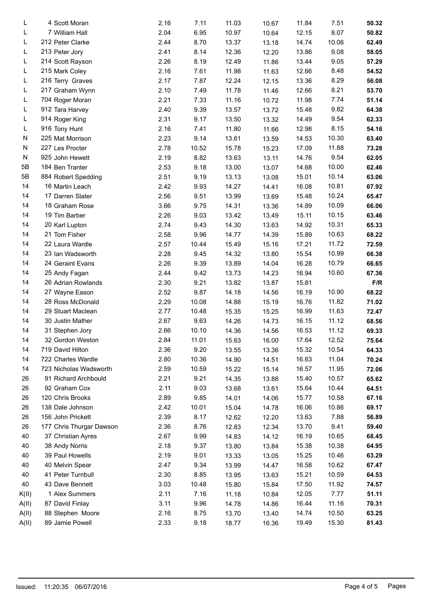| L     | 4 Scott Moran            | 2.16 | 7.11  | 11.03 | 10.67 | 11.84 | 7.51  | 50.32 |  |
|-------|--------------------------|------|-------|-------|-------|-------|-------|-------|--|
| L     | 7 William Hall           | 2.04 | 6.95  | 10.97 | 10.64 | 12.15 | 8.07  | 50.82 |  |
| L     | 212 Peter Clarke         | 2.44 | 8.70  | 13.37 | 13.18 | 14.74 | 10.06 | 62.49 |  |
| L     | 213 Peter Jory           | 2.41 | 8.14  | 12.36 | 12.20 | 13.86 | 9.08  | 58.05 |  |
| L     | 214 Scott Rayson         | 2.26 | 8.19  | 12.49 | 11.86 | 13.44 | 9.05  | 57.29 |  |
| L     | 215 Mark Coley           | 2.16 | 7.61  | 11.98 | 11.63 | 12.66 | 8.48  | 54.52 |  |
| L     | 216 Terry Graves         | 2.17 | 7.87  | 12.24 | 12.15 | 13.36 | 8.29  | 56.08 |  |
| L     | 217 Graham Wynn          | 2.10 | 7.49  | 11.78 | 11.46 | 12.66 | 8.21  | 53.70 |  |
| L     | 704 Roger Moran          | 2.21 | 7.33  | 11.16 | 10.72 | 11.98 | 7.74  | 51.14 |  |
| L     | 912 Tara Harvey          | 2.40 | 9.39  | 13.57 | 13.72 | 15.48 | 9.82  | 64.38 |  |
| L     | 914 Roger King           | 2.31 | 9.17  | 13.50 | 13.32 | 14.49 | 9.54  | 62.33 |  |
| L     | 916 Tony Hunt            | 2.16 | 7.41  | 11.80 | 11.66 | 12.98 | 8.15  | 54.16 |  |
| N     | 225 Mat Morrison         | 2.23 | 9.14  | 13.61 | 13.59 | 14.53 | 10.30 | 63.40 |  |
| N     | 227 Les Procter          | 2.78 | 10.52 | 15.78 | 15.23 | 17.09 | 11.88 | 73.28 |  |
| N     | 925 John Hewett          | 2.19 | 8.82  | 13.63 | 13.11 | 14.76 | 9.54  | 62.05 |  |
| 5B    | 184 Ben Tranter          | 2.53 | 9.18  | 13.00 |       |       | 10.00 | 62.46 |  |
|       |                          |      |       |       | 13.07 | 14.68 |       |       |  |
| 5B    | 884 Robert Spedding      | 2.51 | 9.19  | 13.13 | 13.08 | 15.01 | 10.14 | 63.06 |  |
| 14    | 16 Martin Leach          | 2.42 | 9.93  | 14.27 | 14.41 | 16.08 | 10.81 | 67.92 |  |
| 14    | 17 Darren Slater         | 2.56 | 9.51  | 13.99 | 13.69 | 15.48 | 10.24 | 65.47 |  |
| 14    | 18 Graham Rose           | 3.66 | 9.75  | 14.31 | 13.36 | 14.89 | 10.09 | 66.06 |  |
| 14    | 19 Tim Barber            | 2.26 | 9.03  | 13.42 | 13.49 | 15.11 | 10.15 | 63.46 |  |
| 14    | 20 Karl Lupton           | 2.74 | 9.43  | 14.30 | 13.63 | 14.92 | 10.31 | 65.33 |  |
| 14    | 21 Tom Fisher            | 2.58 | 9.96  | 14.77 | 14.39 | 15.89 | 10.63 | 68.22 |  |
| 14    | 22 Laura Wardle          | 2.57 | 10.44 | 15.49 | 15.16 | 17.21 | 11.72 | 72.59 |  |
| 14    | 23 Ian Wadsworth         | 2.28 | 9.45  | 14.32 | 13.80 | 15.54 | 10.99 | 66.38 |  |
| 14    | 24 Geraint Evans         | 2.26 | 9.39  | 13.89 | 14.04 | 16.28 | 10.79 | 66.65 |  |
| 14    | 25 Andy Fagan            | 2.44 | 9.42  | 13.73 | 14.23 | 16.94 | 10.60 | 67.36 |  |
| 14    | 26 Adrian Rowlands       | 2.30 | 9.21  | 13.82 | 13.87 | 15.81 |       | F/R   |  |
| 14    | 27 Wayne Eason           | 2.52 | 9.87  | 14.18 | 14.56 | 16.19 | 10.90 | 68.22 |  |
| 14    | 28 Ross McDonald         | 2.29 | 10.08 | 14.88 | 15.19 | 16.76 | 11.82 | 71.02 |  |
| 14    | 29 Stuart Maclean        | 2.77 | 10.48 | 15.35 | 15.25 | 16.99 | 11.63 | 72.47 |  |
| 14    | 30 Justin Mather         | 2.67 | 9.63  | 14.26 | 14.73 | 16.15 | 11.12 | 68.56 |  |
| 14    | 31 Stephen Jory          | 2.66 | 10.10 | 14.36 | 14.56 | 16.53 | 11.12 | 69.33 |  |
| 14    | 32 Gordon Weston         | 2.84 | 11.01 | 15.63 | 16.00 | 17.64 | 12.52 | 75.64 |  |
| 14    | 719 David Hilton         | 2.36 | 9.20  | 13.55 | 13.36 | 15.32 | 10.54 | 64.33 |  |
| 14    | 722 Charles Wardle       | 2.80 | 10.36 | 14.90 | 14.51 | 16.63 | 11.04 | 70.24 |  |
| 14    | 723 Nicholas Wadsworth   | 2.59 | 10.59 | 15.22 | 15.14 | 16.57 | 11.95 | 72.06 |  |
| 26    | 91 Richard Archbould     | 2.21 | 9.21  | 14.35 | 13.88 | 15.40 | 10.57 | 65.62 |  |
| 26    | 92 Graham Cox            | 2.11 | 9.03  | 13.68 | 13.61 | 15.64 | 10.44 | 64.51 |  |
| 26    | 120 Chris Brooks         | 2.89 | 9.85  | 14.01 | 14.06 | 15.77 | 10.58 | 67.16 |  |
| 26    | 138 Dale Johnson         | 2.42 | 10.01 | 15.04 | 14.78 | 16.06 | 10.86 | 69.17 |  |
| 26    | 156 John Prickett        | 2.39 | 8.17  | 12.62 | 12.20 | 13.63 | 7.88  | 56.89 |  |
| 26    | 177 Chris Thurgar Dawson | 2.36 | 8.76  | 12.83 | 12.34 | 13.70 | 9.41  | 59.40 |  |
| 40    | 37 Christian Ayres       | 2.67 | 9.99  | 14.83 | 14.12 | 16.19 | 10.65 | 68.45 |  |
| 40    | 38 Andy Norris           | 2.18 | 9.37  |       |       | 15.38 | 10.38 | 64.95 |  |
|       |                          |      |       | 13.80 | 13.84 |       |       |       |  |
| 40    | 39 Paul Howells          | 2.19 | 9.01  | 13.33 | 13.05 | 15.25 | 10.46 | 63.29 |  |
| 40    | 40 Melvin Spear          | 2.47 | 9.34  | 13.99 | 14.47 | 16.58 | 10.62 | 67.47 |  |
| 40    | 41 Peter Turnbull        | 2.30 | 8.85  | 13.95 | 13.63 | 15.21 | 10.59 | 64.53 |  |
| 40    | 43 Dave Bennett          | 3.03 | 10.48 | 15.80 | 15.84 | 17.50 | 11.92 | 74.57 |  |
| K(II) | 1 Alex Summers           | 2.11 | 7.16  | 11.18 | 10.84 | 12.05 | 7.77  | 51.11 |  |
| A(II) | 87 David Finlay          | 3.11 | 9.96  | 14.78 | 14.86 | 16.44 | 11.16 | 70.31 |  |
| A(II) | 88 Stephen Moore         | 2.16 | 8.75  | 13.70 | 13.40 | 14.74 | 10.50 | 63.25 |  |
| A(II) | 89 Jamie Powell          | 2.33 | 9.18  | 18.77 | 16.36 | 19.49 | 15.30 | 81.43 |  |